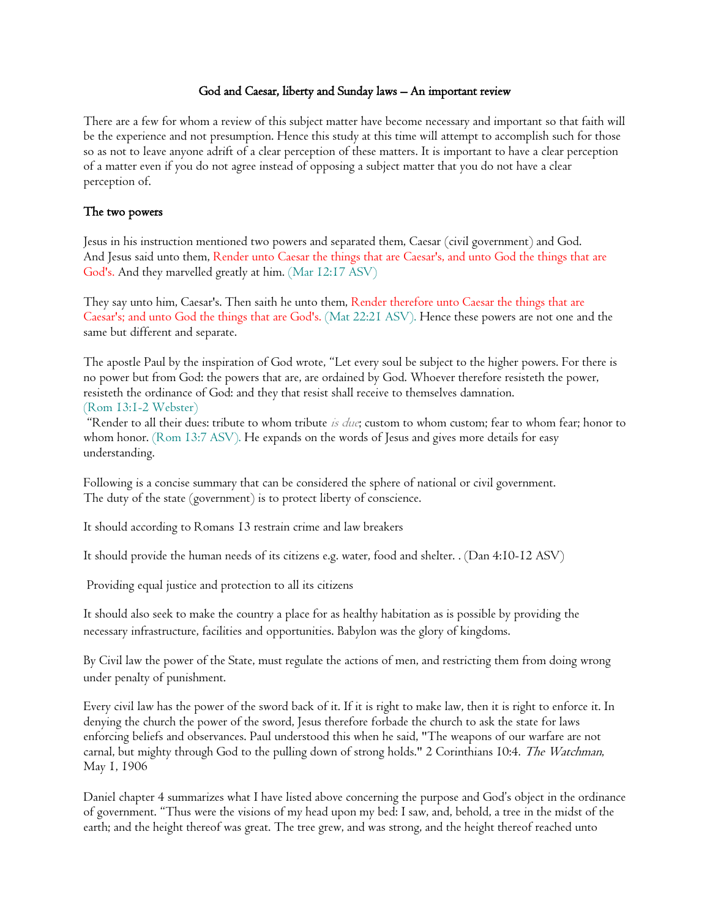### God and Caesar, liberty and Sunday laws – An important review

There are a few for whom a review of this subject matter have become necessary and important so that faith will be the experience and not presumption. Hence this study at this time will attempt to accomplish such for those so as not to leave anyone adrift of a clear perception of these matters. It is important to have a clear perception of a matter even if you do not agree instead of opposing a subject matter that you do not have a clear perception of.

## The two powers

Jesus in his instruction mentioned two powers and separated them, Caesar (civil government) and God. And Jesus said unto them, Render unto Caesar the things that are Caesar's, and unto God the things that are God's. And they marvelled greatly at him. (Mar 12:17 ASV)

They say unto him, Caesar's. Then saith he unto them, Render therefore unto Caesar the things that are Caesar's; and unto God the things that are God's. (Mat 22:21 ASV). Hence these powers are not one and the same but different and separate.

The apostle Paul by the inspiration of God wrote, "Let every soul be subject to the higher powers. For there is no power but from God: the powers that are, are ordained by God. Whoever therefore resisteth the power, resisteth the ordinance of God: and they that resist shall receive to themselves damnation. (Rom 13:1-2 Webster)

"Render to all their dues: tribute to whom tribute is due; custom to whom custom; fear to whom fear; honor to whom honor. (Rom 13:7 ASV). He expands on the words of Jesus and gives more details for easy understanding.

Following is a concise summary that can be considered the sphere of national or civil government. The duty of the state (government) is to protect liberty of conscience.

It should according to Romans 13 restrain crime and law breakers

It should provide the human needs of its citizens e.g. water, food and shelter. . (Dan 4:10-12 ASV)

Providing equal justice and protection to all its citizens

It should also seek to make the country a place for as healthy habitation as is possible by providing the necessary infrastructure, facilities and opportunities. Babylon was the glory of kingdoms.

By Civil law the power of the State, must regulate the actions of men, and restricting them from doing wrong under penalty of punishment.

Every civil law has the power of the sword back of it. If it is right to make law, then it is right to enforce it. In denying the church the power of the sword, Jesus therefore forbade the church to ask the state for laws enforcing beliefs and observances. Paul understood this when he said, "The weapons of our warfare are not carnal, but mighty through God to the pulling down of strong holds." 2 Corinthians 10:4. The Watchman, May 1, 1906

Daniel chapter 4 summarizes what I have listed above concerning the purpose and God's object in the ordinance of government. "Thus were the visions of my head upon my bed: I saw, and, behold, a tree in the midst of the earth; and the height thereof was great. The tree grew, and was strong, and the height thereof reached unto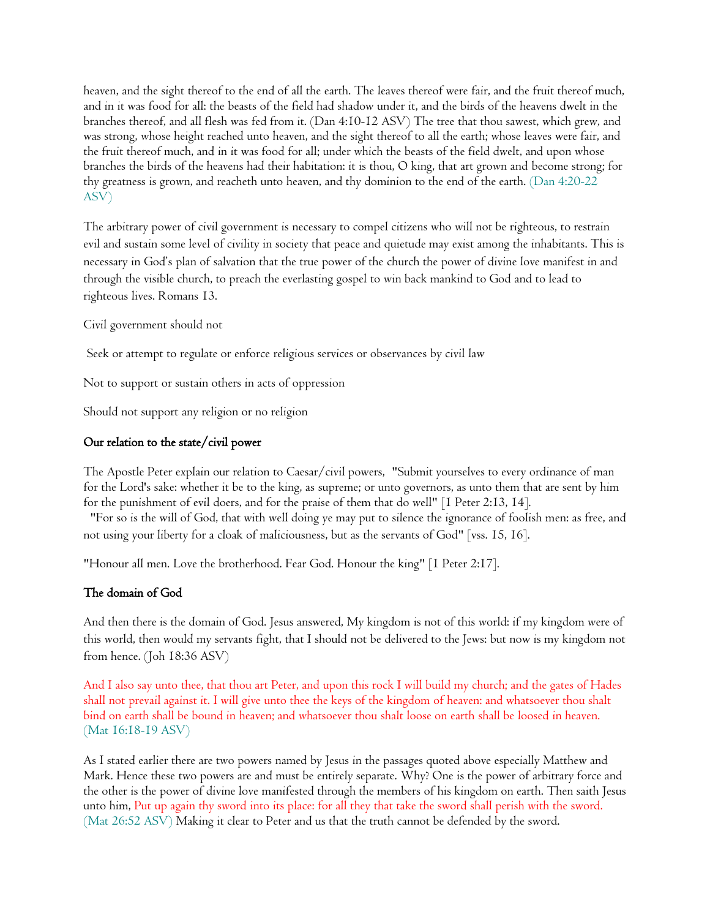heaven, and the sight thereof to the end of all the earth. The leaves thereof were fair, and the fruit thereof much, and in it was food for all: the beasts of the field had shadow under it, and the birds of the heavens dwelt in the branches thereof, and all flesh was fed from it. (Dan 4:10-12 ASV) The tree that thou sawest, which grew, and was strong, whose height reached unto heaven, and the sight thereof to all the earth; whose leaves were fair, and the fruit thereof much, and in it was food for all; under which the beasts of the field dwelt, and upon whose branches the birds of the heavens had their habitation: it is thou, O king, that art grown and become strong; for thy greatness is grown, and reacheth unto heaven, and thy dominion to the end of the earth. (Dan 4:20-22 ASV)

The arbitrary power of civil government is necessary to compel citizens who will not be righteous, to restrain evil and sustain some level of civility in society that peace and quietude may exist among the inhabitants. This is necessary in God's plan of salvation that the true power of the church the power of divine love manifest in and through the visible church, to preach the everlasting gospel to win back mankind to God and to lead to righteous lives. Romans 13.

Civil government should not

Seek or attempt to regulate or enforce religious services or observances by civil law

Not to support or sustain others in acts of oppression

Should not support any religion or no religion

## Our relation to the state/civil power

The Apostle Peter explain our relation to Caesar/civil powers, "Submit yourselves to every ordinance of man for the Lord's sake: whether it be to the king, as supreme; or unto governors, as unto them that are sent by him for the punishment of evil doers, and for the praise of them that do well" [1 Peter 2:13, 14].

"For so is the will of God, that with well doing ye may put to silence the ignorance of foolish men: as free, and not using your liberty for a cloak of maliciousness, but as the servants of God" [vss. 15, 16].

"Honour all men. Love the brotherhood. Fear God. Honour the king" [1 Peter 2:17].

## The domain of God

And then there is the domain of God. Jesus answered, My kingdom is not of this world: if my kingdom were of this world, then would my servants fight, that I should not be delivered to the Jews: but now is my kingdom not from hence. (Joh 18:36 ASV)

And I also say unto thee, that thou art Peter, and upon this rock I will build my church; and the gates of Hades shall not prevail against it. I will give unto thee the keys of the kingdom of heaven: and whatsoever thou shalt bind on earth shall be bound in heaven; and whatsoever thou shalt loose on earth shall be loosed in heaven. (Mat 16:18-19 ASV)

As I stated earlier there are two powers named by Jesus in the passages quoted above especially Matthew and Mark. Hence these two powers are and must be entirely separate. Why? One is the power of arbitrary force and the other is the power of divine love manifested through the members of his kingdom on earth. Then saith Jesus unto him, Put up again thy sword into its place: for all they that take the sword shall perish with the sword. (Mat 26:52 ASV) Making it clear to Peter and us that the truth cannot be defended by the sword.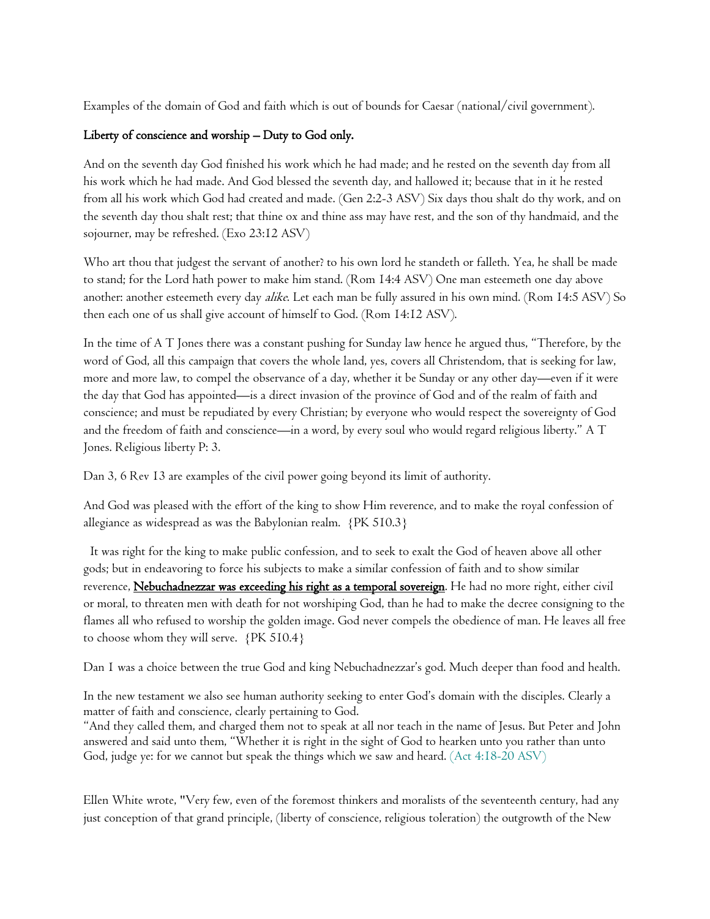Examples of the domain of God and faith which is out of bounds for Caesar (national/civil government).

# Liberty of conscience and worship – Duty to God only.

And on the seventh day God finished his work which he had made; and he rested on the seventh day from all his work which he had made. And God blessed the seventh day, and hallowed it; because that in it he rested from all his work which God had created and made. (Gen 2:2-3 ASV) Six days thou shalt do thy work, and on the seventh day thou shalt rest; that thine ox and thine ass may have rest, and the son of thy handmaid, and the sojourner, may be refreshed. (Exo 23:12 ASV)

Who art thou that judgest the servant of another? to his own lord he standeth or falleth. Yea, he shall be made to stand; for the Lord hath power to make him stand. (Rom 14:4 ASV) One man esteemeth one day above another: another esteemeth every day *alike*. Let each man be fully assured in his own mind. (Rom 14:5 ASV) So then each one of us shall give account of himself to God. (Rom 14:12 ASV).

In the time of A T Jones there was a constant pushing for Sunday law hence he argued thus, "Therefore, by the word of God, all this campaign that covers the whole land, yes, covers all Christendom, that is seeking for law, more and more law, to compel the observance of a day, whether it be Sunday or any other day—even if it were the day that God has appointed—is a direct invasion of the province of God and of the realm of faith and conscience; and must be repudiated by every Christian; by everyone who would respect the sovereignty of God and the freedom of faith and conscience—in a word, by every soul who would regard religious liberty." A T Jones. Religious liberty P: 3.

Dan 3, 6 Rev 13 are examples of the civil power going beyond its limit of authority.

And God was pleased with the effort of the king to show Him reverence, and to make the royal confession of allegiance as widespread as was the Babylonian realm. {PK 510.3}

 It was right for the king to make public confession, and to seek to exalt the God of heaven above all other gods; but in endeavoring to force his subjects to make a similar confession of faith and to show similar reverence, Nebuchadnezzar was exceeding his right as a temporal sovereign. He had no more right, either civil or moral, to threaten men with death for not worshiping God, than he had to make the decree consigning to the flames all who refused to worship the golden image. God never compels the obedience of man. He leaves all free to choose whom they will serve. {PK 510.4}

Dan 1 was a choice between the true God and king Nebuchadnezzar's god. Much deeper than food and health.

In the new testament we also see human authority seeking to enter God's domain with the disciples. Clearly a matter of faith and conscience, clearly pertaining to God.

"And they called them, and charged them not to speak at all nor teach in the name of Jesus. But Peter and John answered and said unto them, "Whether it is right in the sight of God to hearken unto you rather than unto God, judge ye: for we cannot but speak the things which we saw and heard. (Act 4:18-20 ASV)

Ellen White wrote, "Very few, even of the foremost thinkers and moralists of the seventeenth century, had any just conception of that grand principle, (liberty of conscience, religious toleration) the outgrowth of the New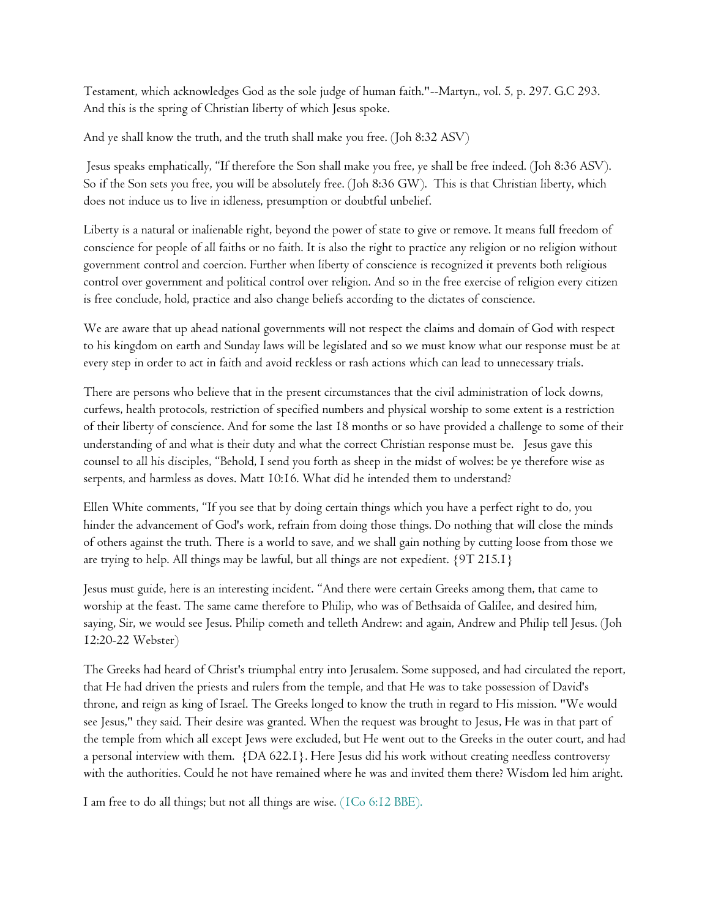Testament, which acknowledges God as the sole judge of human faith."--Martyn., vol. 5, p. 297. G.C 293. And this is the spring of Christian liberty of which Jesus spoke.

And ye shall know the truth, and the truth shall make you free. (Joh 8:32 ASV)

Jesus speaks emphatically, "If therefore the Son shall make you free, ye shall be free indeed. (Joh 8:36 ASV). So if the Son sets you free, you will be absolutely free. (Joh 8:36 GW). This is that Christian liberty, which does not induce us to live in idleness, presumption or doubtful unbelief.

Liberty is a natural or inalienable right, beyond the power of state to give or remove. It means full freedom of conscience for people of all faiths or no faith. It is also the right to practice any religion or no religion without government control and coercion. Further when liberty of conscience is recognized it prevents both religious control over government and political control over religion. And so in the free exercise of religion every citizen is free conclude, hold, practice and also change beliefs according to the dictates of conscience.

We are aware that up ahead national governments will not respect the claims and domain of God with respect to his kingdom on earth and Sunday laws will be legislated and so we must know what our response must be at every step in order to act in faith and avoid reckless or rash actions which can lead to unnecessary trials.

There are persons who believe that in the present circumstances that the civil administration of lock downs, curfews, health protocols, restriction of specified numbers and physical worship to some extent is a restriction of their liberty of conscience. And for some the last 18 months or so have provided a challenge to some of their understanding of and what is their duty and what the correct Christian response must be. Jesus gave this counsel to all his disciples, "Behold, I send you forth as sheep in the midst of wolves: be ye therefore wise as serpents, and harmless as doves. Matt 10:16. What did he intended them to understand?

Ellen White comments, "If you see that by doing certain things which you have a perfect right to do, you hinder the advancement of God's work, refrain from doing those things. Do nothing that will close the minds of others against the truth. There is a world to save, and we shall gain nothing by cutting loose from those we are trying to help. All things may be lawful, but all things are not expedient. {9T 215.1}

Jesus must guide, here is an interesting incident. "And there were certain Greeks among them, that came to worship at the feast. The same came therefore to Philip, who was of Bethsaida of Galilee, and desired him, saying, Sir, we would see Jesus. Philip cometh and telleth Andrew: and again, Andrew and Philip tell Jesus. (Joh 12:20-22 Webster)

The Greeks had heard of Christ's triumphal entry into Jerusalem. Some supposed, and had circulated the report, that He had driven the priests and rulers from the temple, and that He was to take possession of David's throne, and reign as king of Israel. The Greeks longed to know the truth in regard to His mission. "We would see Jesus," they said. Their desire was granted. When the request was brought to Jesus, He was in that part of the temple from which all except Jews were excluded, but He went out to the Greeks in the outer court, and had a personal interview with them. {DA 622.1}. Here Jesus did his work without creating needless controversy with the authorities. Could he not have remained where he was and invited them there? Wisdom led him aright.

I am free to do all things; but not all things are wise. (1Co 6:12 BBE).